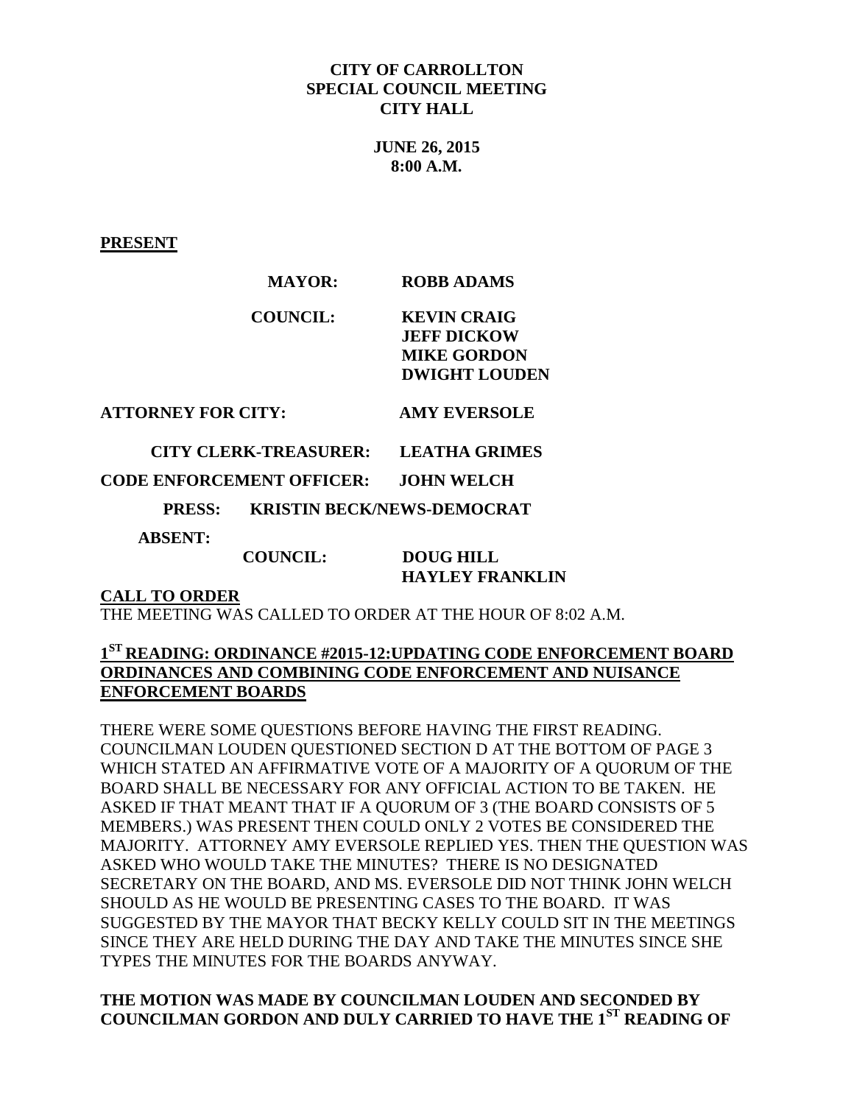### **CITY OF CARROLLTON SPECIAL COUNCIL MEETING CITY HALL**

**JUNE 26, 2015 8:00 A.M.**

**PRESENT**

| <b>ROBB ADAMS</b>    |
|----------------------|
| <b>KEVIN CRAIG</b>   |
| <b>JEFF DICKOW</b>   |
| <b>MIKE GORDON</b>   |
| <b>DWIGHT LOUDEN</b> |
|                      |

**ATTORNEY FOR CITY: AMY EVERSOLE**

 **CITY CLERK-TREASURER: LEATHA GRIMES**

## **CODE ENFORCEMENT OFFICER: JOHN WELCH**

 **PRESS: KRISTIN BECK/NEWS-DEMOCRAT** 

 **ABSENT:** 

#### **COUNCIL: DOUG HILL HAYLEY FRANKLIN**

**CALL TO ORDER**

THE MEETING WAS CALLED TO ORDER AT THE HOUR OF 8:02 A.M.

# **1 ST READING: ORDINANCE #2015-12:UPDATING CODE ENFORCEMENT BOARD ORDINANCES AND COMBINING CODE ENFORCEMENT AND NUISANCE ENFORCEMENT BOARDS**

THERE WERE SOME QUESTIONS BEFORE HAVING THE FIRST READING. COUNCILMAN LOUDEN QUESTIONED SECTION D AT THE BOTTOM OF PAGE 3 WHICH STATED AN AFFIRMATIVE VOTE OF A MAJORITY OF A QUORUM OF THE BOARD SHALL BE NECESSARY FOR ANY OFFICIAL ACTION TO BE TAKEN. HE ASKED IF THAT MEANT THAT IF A QUORUM OF 3 (THE BOARD CONSISTS OF 5 MEMBERS.) WAS PRESENT THEN COULD ONLY 2 VOTES BE CONSIDERED THE MAJORITY. ATTORNEY AMY EVERSOLE REPLIED YES. THEN THE QUESTION WAS ASKED WHO WOULD TAKE THE MINUTES? THERE IS NO DESIGNATED SECRETARY ON THE BOARD, AND MS. EVERSOLE DID NOT THINK JOHN WELCH SHOULD AS HE WOULD BE PRESENTING CASES TO THE BOARD. IT WAS SUGGESTED BY THE MAYOR THAT BECKY KELLY COULD SIT IN THE MEETINGS SINCE THEY ARE HELD DURING THE DAY AND TAKE THE MINUTES SINCE SHE TYPES THE MINUTES FOR THE BOARDS ANYWAY.

## **THE MOTION WAS MADE BY COUNCILMAN LOUDEN AND SECONDED BY COUNCILMAN GORDON AND DULY CARRIED TO HAVE THE 1ST READING OF**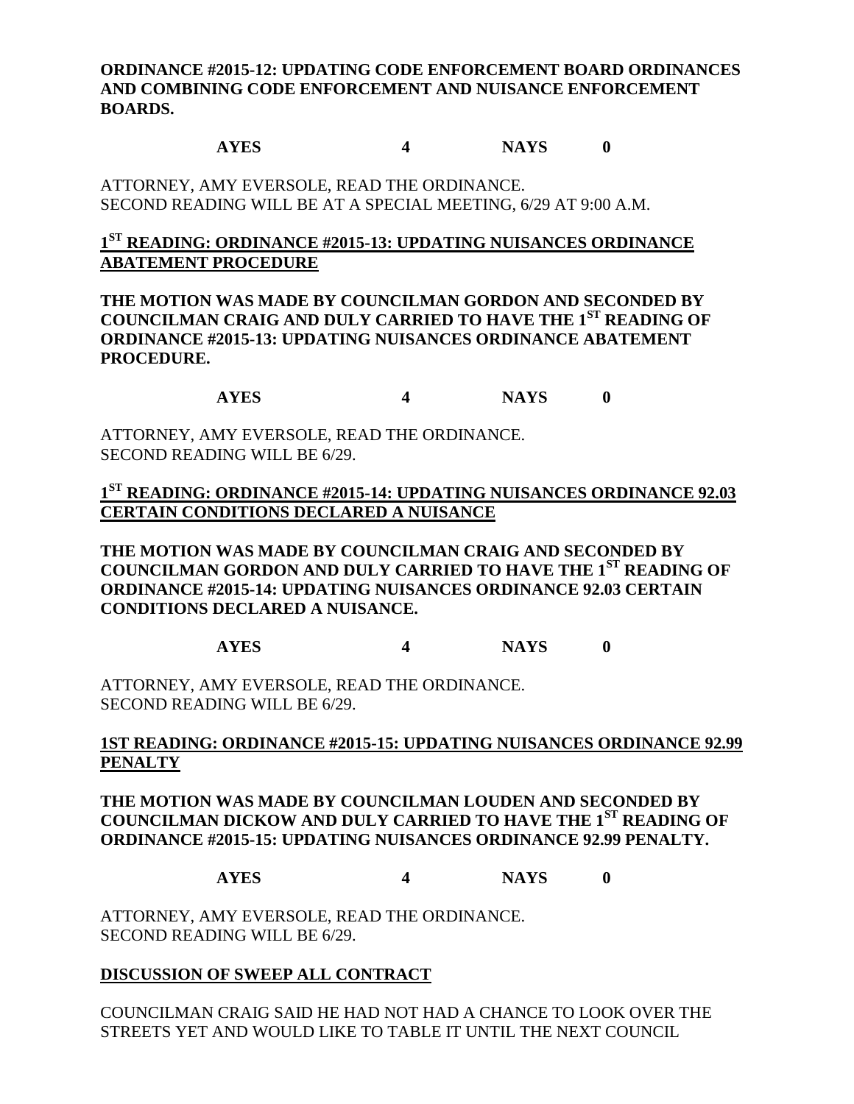## **ORDINANCE #2015-12: UPDATING CODE ENFORCEMENT BOARD ORDINANCES AND COMBINING CODE ENFORCEMENT AND NUISANCE ENFORCEMENT BOARDS.**

#### **AYES 4 NAYS 0**

ATTORNEY, AMY EVERSOLE, READ THE ORDINANCE. SECOND READING WILL BE AT A SPECIAL MEETING, 6/29 AT 9:00 A.M.

## **1 ST READING: ORDINANCE #2015-13: UPDATING NUISANCES ORDINANCE ABATEMENT PROCEDURE**

**THE MOTION WAS MADE BY COUNCILMAN GORDON AND SECONDED BY COUNCILMAN CRAIG AND DULY CARRIED TO HAVE THE 1ST READING OF ORDINANCE #2015-13: UPDATING NUISANCES ORDINANCE ABATEMENT PROCEDURE.**

**AYES 4 NAYS 0**

ATTORNEY, AMY EVERSOLE, READ THE ORDINANCE. SECOND READING WILL BE 6/29.

**1 ST READING: ORDINANCE #2015-14: UPDATING NUISANCES ORDINANCE 92.03 CERTAIN CONDITIONS DECLARED A NUISANCE**

**THE MOTION WAS MADE BY COUNCILMAN CRAIG AND SECONDED BY COUNCILMAN GORDON AND DULY CARRIED TO HAVE THE 1ST READING OF ORDINANCE #2015-14: UPDATING NUISANCES ORDINANCE 92.03 CERTAIN CONDITIONS DECLARED A NUISANCE.**

**AYES 4 NAYS 0**

ATTORNEY, AMY EVERSOLE, READ THE ORDINANCE. SECOND READING WILL BE 6/29.

### **1ST READING: ORDINANCE #2015-15: UPDATING NUISANCES ORDINANCE 92.99 PENALTY**

**THE MOTION WAS MADE BY COUNCILMAN LOUDEN AND SECONDED BY COUNCILMAN DICKOW AND DULY CARRIED TO HAVE THE 1ST READING OF ORDINANCE #2015-15: UPDATING NUISANCES ORDINANCE 92.99 PENALTY.**

**AYES 4 NAYS 0**

ATTORNEY, AMY EVERSOLE, READ THE ORDINANCE. SECOND READING WILL BE 6/29.

## **DISCUSSION OF SWEEP ALL CONTRACT**

COUNCILMAN CRAIG SAID HE HAD NOT HAD A CHANCE TO LOOK OVER THE STREETS YET AND WOULD LIKE TO TABLE IT UNTIL THE NEXT COUNCIL